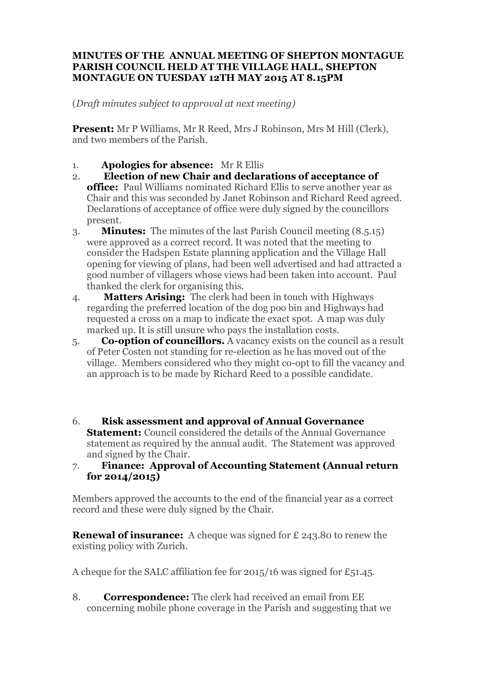## **MINUTES OF THE ANNUAL MEETING OF SHEPTON MONTAGUE PARISH COUNCIL HELD AT THE VILLAGE HALL, SHEPTON MONTAGUE ON TUESDAY 12TH MAY 2015 AT 8.15PM**

(*Draft minutes subject to approval at next meeting)*

**Present:** Mr P Williams, Mr R Reed, Mrs J Robinson, Mrs M Hill (Clerk), and two members of the Parish.

- 1. **Apologies for absence:** Mr R Ellis
- 2. **Election of new Chair and declarations of acceptance of office:** Paul Williams nominated Richard Ellis to serve another year as Chair and this was seconded by Janet Robinson and Richard Reed agreed. Declarations of acceptance of office were duly signed by the councillors present.
- 3. **Minutes:** The minutes of the last Parish Council meeting (8.5.15) were approved as a correct record. It was noted that the meeting to consider the Hadspen Estate planning application and the Village Hall opening for viewing of plans, had been well advertised and had attracted a good number of villagers whose views had been taken into account. Paul thanked the clerk for organising this.
- 4. **Matters Arising:** The clerk had been in touch with Highways regarding the preferred location of the dog poo bin and Highways had requested a cross on a map to indicate the exact spot. A map was duly marked up. It is still unsure who pays the installation costs.
- 5. **Co-option of councillors.** A vacancy exists on the council as a result of Peter Costen not standing for re-election as he has moved out of the village. Members considered who they might co-opt to fill the vacancy and an approach is to be made by Richard Reed to a possible candidate.
- 6. **Risk assessment and approval of Annual Governance Statement:** Council considered the details of the Annual Governance statement as required by the annual audit. The Statement was approved and signed by the Chair.

## 7. **Finance: Approval of Accounting Statement (Annual return for 2014/2015)**

Members approved the accounts to the end of the financial year as a correct record and these were duly signed by the Chair.

**Renewal of insurance:** A cheque was signed for £ 243.80 to renew the existing policy with Zurich.

A cheque for the SALC affiliation fee for 2015/16 was signed for £51.45.

8. **Correspondence:** The clerk had received an email from EE concerning mobile phone coverage in the Parish and suggesting that we